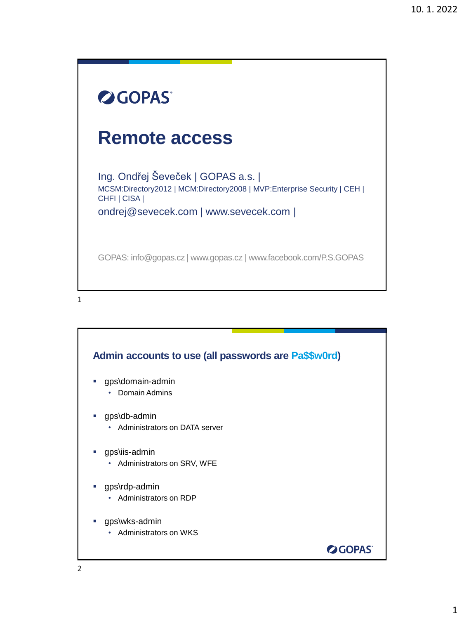## **OGOPAS Remote access** Ing. Ondřej Ševeček | GOPAS a.s. | MCSM:Directory2012 | MCM:Directory2008 | MVP:Enterprise Security | CEH | CHFI | CISA | ondrej@sevecek.com | www.sevecek.com | GOPAS: info@gopas.cz | www.gopas.cz | www.facebook.com/P.S.GOPAS

1

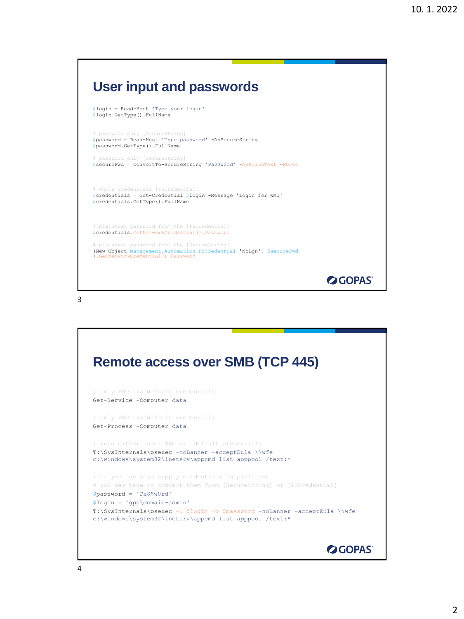## **User input and passwords**

```
$login = Read-Host 'Type your login'
$login.GetType().FullName
```
# password only [SecureString] \$password = Read-Host 'Type password' -AsSecureString \$password.GetType().FullName

# password only [SecureString] \$securePwd = ConvertTo-SecureString 'Pa\$\$w0rd' -AsPlainText -Force

# whole credentials [PSCredential] \$credentials = Get-Credential \$login -Message 'Login for WMI' \$credentials.GetType().FullName

# plaintext password from the [PSCredential] \$credentials.GetNetworkCredential().Password # plaintext password from the [SecureString] (New-Object Management.Automation.PSCredential 'NoLgn', \$securePwd ).GetNetworkCredential().Password

**OGOPAS** 

3

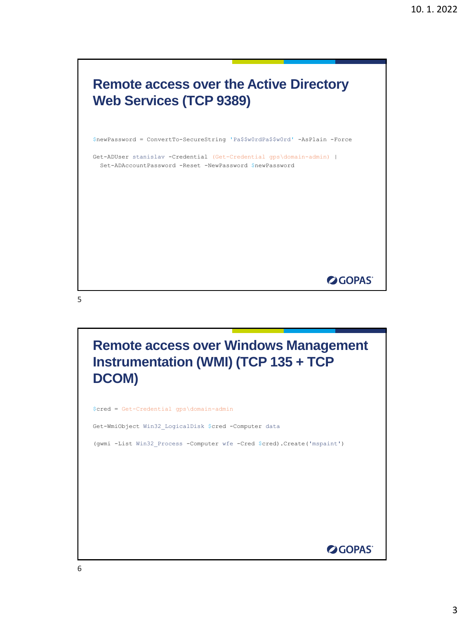

Get-WmiObject Win32\_LogicalDisk \$cred -Computer data

(gwmi -List Win32\_Process -Computer wfe -Cred \$cred).Create('mspaint')